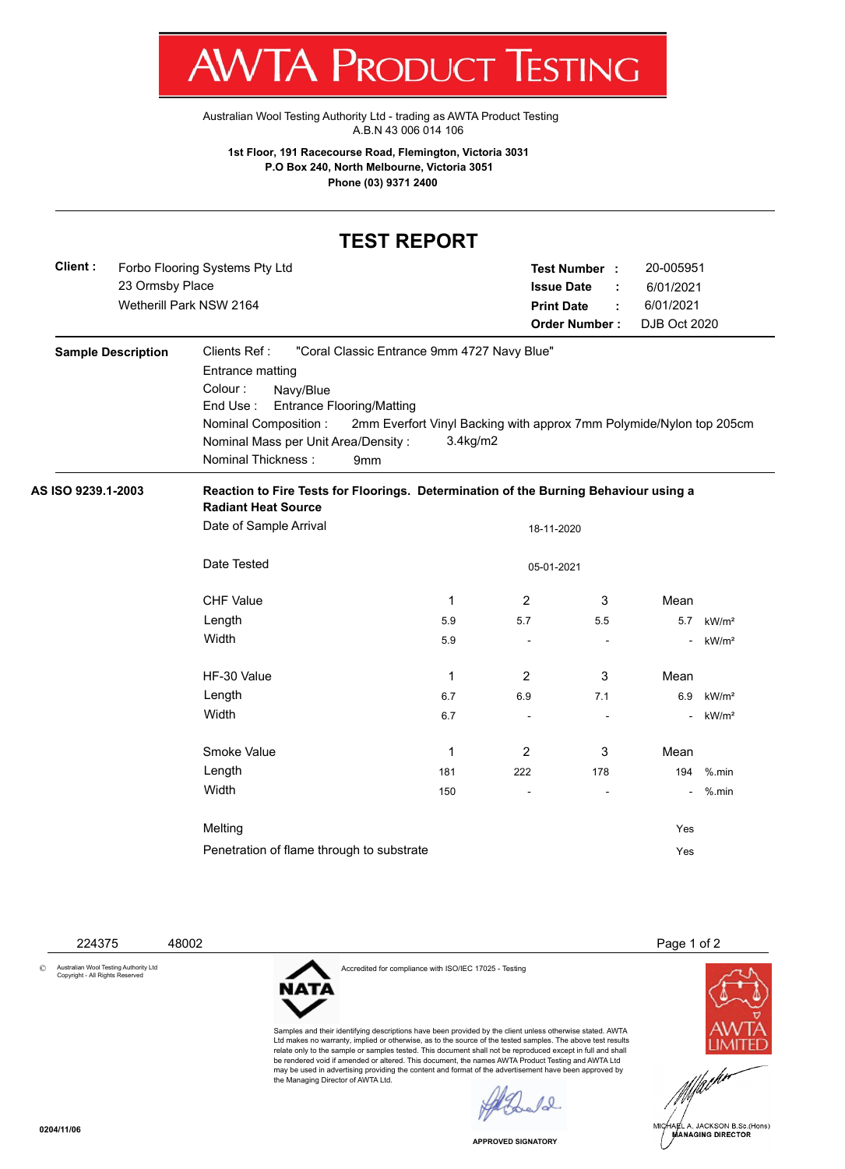I W **VI/VI NULLUL LESTINU** 

[Australian Wool Testing Authority Ltd - trading as AWTA Product Testing](http://www.awtaproducttesting.com.au/) A.B.N 43 006 014 106

**1st Floor, 191 Racecourse Road, Flemington, Victoria 3031 P.O Box 240, North Melbourne, Victoria 3051 Phone (03) 9371 2400**

## **TEST REPORT**

| Client : | Forbo Flooring Systems Pty Ltd | Test Number:         | 20-005951    |
|----------|--------------------------------|----------------------|--------------|
|          | 23 Ormsby Place                | <b>Issue Date</b>    | 6/01/2021    |
|          | Wetherill Park NSW 2164        | <b>Print Date</b>    | 6/01/2021    |
|          |                                | <b>Order Number:</b> | DJB Oct 2020 |
|          |                                |                      |              |

| <b>Sample Description</b> | Clients Ref:<br>Entrance matting<br>Colour:<br>Navy/Blue<br>End Use:<br><b>Entrance Flooring/Matting</b><br>Nominal Composition:<br>Nominal Mass per Unit Area/Density:<br>Nominal Thickness: | "Coral Classic Entrance 9mm 4727 Navy Blue"<br>2mm Everfort Vinyl Backing with approx 7mm Polymide/Nylon top 205cm<br>$3.4$ kg/m $2$<br>9 <sub>mm</sub> |                          |                          |               |                   |
|---------------------------|-----------------------------------------------------------------------------------------------------------------------------------------------------------------------------------------------|---------------------------------------------------------------------------------------------------------------------------------------------------------|--------------------------|--------------------------|---------------|-------------------|
| AS ISO 9239.1-2003        | Reaction to Fire Tests for Floorings. Determination of the Burning Behaviour using a<br><b>Radiant Heat Source</b>                                                                            |                                                                                                                                                         |                          |                          |               |                   |
|                           | Date of Sample Arrival                                                                                                                                                                        |                                                                                                                                                         | 18-11-2020               |                          |               |                   |
|                           | Date Tested                                                                                                                                                                                   |                                                                                                                                                         | 05-01-2021               |                          |               |                   |
|                           | <b>CHF Value</b>                                                                                                                                                                              | 1                                                                                                                                                       | 2                        | 3                        | Mean          |                   |
|                           | Length                                                                                                                                                                                        | 5.9                                                                                                                                                     | 5.7                      | 5.5                      | 5.7           | kW/m <sup>2</sup> |
|                           | Width                                                                                                                                                                                         | 5.9                                                                                                                                                     | $\overline{\phantom{a}}$ | $\overline{\phantom{a}}$ | $\sim$        | kW/m <sup>2</sup> |
|                           | HF-30 Value                                                                                                                                                                                   | 1                                                                                                                                                       | 2                        | 3                        | Mean          |                   |
|                           | Length                                                                                                                                                                                        | 6.7                                                                                                                                                     | 6.9                      | 7.1                      | 6.9           | kW/m <sup>2</sup> |
|                           | Width                                                                                                                                                                                         | 6.7                                                                                                                                                     |                          |                          |               | kW/m <sup>2</sup> |
|                           | Smoke Value                                                                                                                                                                                   | 1                                                                                                                                                       | 2                        | 3                        | Mean          |                   |
|                           | Length                                                                                                                                                                                        | 181                                                                                                                                                     | 222                      | 178                      | 194           | $%$ .min          |
|                           | Width                                                                                                                                                                                         | 150                                                                                                                                                     | $\overline{\phantom{a}}$ | ٠                        | $\frac{1}{2}$ | $%$ .min          |
|                           |                                                                                                                                                                                               |                                                                                                                                                         |                          |                          |               |                   |

Melting Yes Penetration of flame through to substrate Yes

© Australian Wool Testing Authority Ltd Copyright - All Rights Reserved

Accredited for compliance with ISO/IEC 17025 - Testing

224375 48002 Page 1 of 2



MICHAEL A. JACKSON B.Sc.(Hons) **MANAGING DIRECTOR** 



Samples and their identifying descriptions have been provided by the client unless otherwise stated. AWTA Ltd makes no warranty, implied or otherwise, as to the source of the tested samples. The above test results relate only to the sample or samples tested. This document shall not be reproduced except in full and shall be rendered void if amended or altered. This document, the names AWTA Product Testing and AWTA Ltd may be used in advertising providing the content and format of the advertisement have been approved by the Managing Director of AWTA Ltd.

 $\sqrt{2}$ 

**APPROVED SIGNATORY**